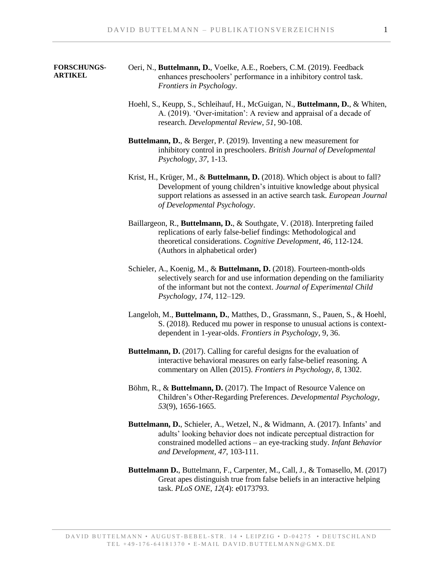## **FORSCHUNGS-ARTIKEL**

- Oeri, N., **Buttelmann, D.**, Voelke, A.E., Roebers, C.M. (2019). Feedback enhances preschoolers' performance in a inhibitory control task. *Frontiers in Psychology*.
- Hoehl, S., Keupp, S., Schleihauf, H., McGuigan, N., **Buttelmann, D.**, & Whiten, A. (2019). 'Over-imitation': A review and appraisal of a decade of research. *Developmental Review*, *51*, 90-108.
- **Buttelmann, D.**, & Berger, P. (2019). Inventing a new measurement for inhibitory control in preschoolers. *British Journal of Developmental Psychology*, *37*, 1-13.
- Krist, H., Krüger, M., & **Buttelmann, D.** (2018). Which object is about to fall? Development of young children's intuitive knowledge about physical support relations as assessed in an active search task. *European Journal of Developmental Psychology*.
- Baillargeon, R., **Buttelmann, D.**, & Southgate, V. (2018). Interpreting failed replications of early false-belief findings: Methodological and theoretical considerations. *Cognitive Development*, *46*, 112-124. (Authors in alphabetical order)
- Schieler, A., Koenig, M., & **Buttelmann, D.** (2018). Fourteen-month-olds selectively search for and use information depending on the familiarity of the informant but not the context. *Journal of Experimental Child Psychology*, *174*, 112–129.
- Langeloh, M., **Buttelmann, D.**, Matthes, D., Grassmann, S., Pauen, S., & Hoehl, S. (2018). Reduced mu power in response to unusual actions is contextdependent in 1-year-olds. *Frontiers in Psychology*, 9, 36.
- **Buttelmann, D.** (2017). Calling for careful designs for the evaluation of interactive behavioral measures on early false-belief reasoning. A commentary on Allen (2015). *Frontiers in Psychology*, *8*, 1302.
- Böhm, R., & **Buttelmann, D.** (2017). The Impact of Resource Valence on Children's Other-Regarding Preferences. *Developmental Psychology*, *53*(9), 1656-1665.
- **Buttelmann, D.**, Schieler, A., Wetzel, N., & Widmann, A. (2017). Infants' and adults' looking behavior does not indicate perceptual distraction for constrained modelled actions – an eye-tracking study. *Infant Behavior and Development*, *47*, 103-111.
- **Buttelmann D.**, Buttelmann, F., Carpenter, M., Call, J., & Tomasello, M. (2017) Great apes distinguish true from false beliefs in an interactive helping task. *PLoS ONE*, *12*(4): e0173793.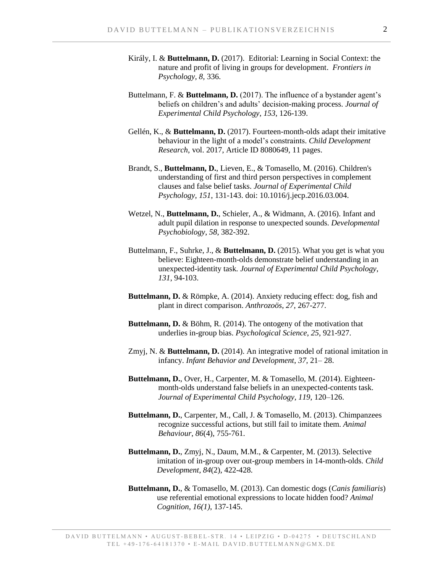- Király, I. & **Buttelmann, D.** (2017). Editorial: Learning in Social Context: the nature and profit of living in groups for development. *Frontiers in Psychology, 8,* 336.
- Buttelmann, F. & **Buttelmann, D.** (2017). The influence of a bystander agent's beliefs on children's and adults' decision-making process. *Journal of Experimental Child Psychology*, *153*, 126-139.
- Gellén, K., & **Buttelmann, D.** (2017). Fourteen-month-olds adapt their imitative behaviour in the light of a model's constraints. *Child Development Research*, vol. 2017, Article ID 8080649, 11 pages.
- Brandt, S., **Buttelmann, D.**, Lieven, E., & Tomasello, M. (2016). Children's understanding of first and third person perspectives in complement clauses and false belief tasks. *Journal of Experimental Child Psychology*, *151*, 131-143. doi: 10.1016/j.jecp.2016.03.004.
- Wetzel, N., **Buttelmann, D.**, Schieler, A., & Widmann, A. (2016). Infant and adult pupil dilation in response to unexpected sounds. *Developmental Psychobiology*, *58*, 382-392.
- Buttelmann, F., Suhrke, J., & **Buttelmann, D.** (2015). What you get is what you believe: Eighteen-month-olds demonstrate belief understanding in an unexpected-identity task*. Journal of Experimental Child Psychology*, *131*, 94-103.
- **Buttelmann, D.** & Römpke, A. (2014). Anxiety reducing effect: dog, fish and plant in direct comparison. *Anthrozoös*, *27*, 267-277.
- **Buttelmann, D.** & Böhm, R. (2014). The ontogeny of the motivation that underlies in-group bias. *Psychological Science*, *25*, 921-927.
- Zmyj, N. & **Buttelmann, D.** (2014). An integrative model of rational imitation in infancy. *Infant Behavior and Development*, *37*, 21– 28.
- **Buttelmann, D.**, Over, H., Carpenter, M. & Tomasello, M. (2014). Eighteenmonth-olds understand false beliefs in an unexpected-contents task. *Journal of Experimental Child Psychology*, *119*, 120–126.
- **Buttelmann, D.**, Carpenter, M., Call, J. & Tomasello, M. (2013). Chimpanzees recognize successful actions, but still fail to imitate them. *Animal Behaviour*, *86*(4), 755-761.
- **Buttelmann, D.**, Zmyj, N., Daum, M.M., & Carpenter, M. (2013). Selective imitation of in-group over out-group members in 14-month-olds. *Child Development*, *84*(2), 422-428.
- **Buttelmann, D.**, & Tomasello, M. (2013). Can domestic dogs (*Canis familiaris*) use referential emotional expressions to locate hidden food? *Animal Cognition*, *16(1)*, 137-145.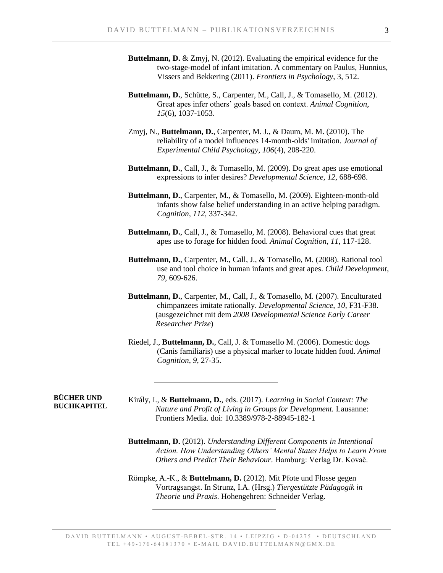- **Buttelmann, D.** & Zmyj, N. (2012). Evaluating the empirical evidence for the two-stage-model of infant imitation. A commentary on Paulus, Hunnius, Vissers and Bekkering (2011). *Frontiers in Psychology*, 3, 512.
- **Buttelmann, D.**, Schütte, S., Carpenter, M., Call, J., & Tomasello, M. (2012). Great apes infer others' goals based on context. *Animal Cognition*, *15*(6), 1037-1053.
- Zmyj, N., **Buttelmann, D.**, Carpenter, M. J., & Daum, M. M. (2010). The reliability of a model influences 14-month-olds' imitation. *Journal of Experimental Child Psychology*, *106*(4), 208-220.
- **Buttelmann, D.**, Call, J., & Tomasello, M. (2009). Do great apes use emotional expressions to infer desires? *Developmental Science*, *12*, 688-698.
- **Buttelmann, D.**, Carpenter, M., & Tomasello, M. (2009). Eighteen-month-old infants show false belief understanding in an active helping paradigm. *Cognition*, *112*, 337-342.
- **Buttelmann, D.**, Call, J., & Tomasello, M. (2008). Behavioral cues that great apes use to forage for hidden food. *Animal Cognition*, *11*, 117-128.
- **Buttelmann, D.**, Carpenter, M., Call, J., & Tomasello, M. (2008). Rational tool use and tool choice in human infants and great apes. *Child Development*, *79*, 609-626.
- **Buttelmann, D.**, Carpenter, M., Call, J., & Tomasello, M. (2007). Enculturated chimpanzees imitate rationally. *Developmental Science*, *10*, F31-F38. (ausgezeichnet mit dem *2008 Developmental Science Early Career Researcher Prize*)
- Riedel, J., **Buttelmann, D.**, Call, J. & Tomasello M. (2006). Domestic dogs (Canis familiaris) use a physical marker to locate hidden food. *Animal Cognition*, *9*, 27-35.

## **BÜCHER UND BUCHKAPITEL**

Király, I., & **Buttelmann, D.**, eds. (2017). *Learning in Social Context: The Nature and Profit of Living in Groups for Development.* Lausanne: Frontiers Media. doi: 10.3389/978-2-88945-182-1

**Buttelmann, D.** (2012). *Understanding Different Components in Intentional Action. How Understanding Others' Mental States Helps to Learn From Others and Predict Their Behaviour*. Hamburg: Verlag Dr. Kovač.

Römpke, A.-K., & **Buttelmann, D.** (2012). Mit Pfote und Flosse gegen Vortragsangst. In Strunz, I.A. (Hrsg.) *Tiergestützte Pädagogik in Theorie und Praxis*. Hohengehren: Schneider Verlag.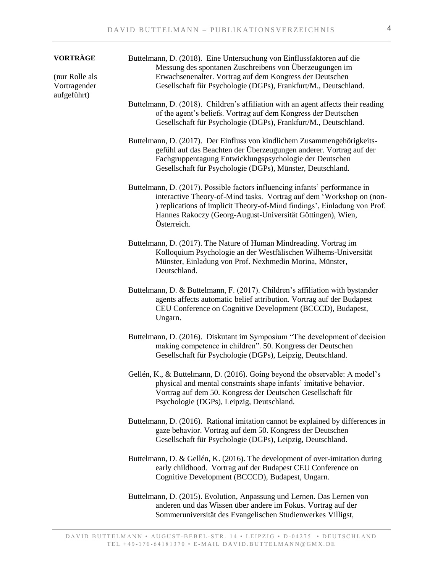| <b>VORTRÄGE</b>                               | Buttelmann, D. (2018). Eine Untersuchung von Einflussfaktoren auf die<br>Messung des spontanen Zuschreibens von Überzeugungen im                                                                                                                                                                             |
|-----------------------------------------------|--------------------------------------------------------------------------------------------------------------------------------------------------------------------------------------------------------------------------------------------------------------------------------------------------------------|
| (nur Rolle als<br>Vortragender<br>aufgeführt) | Erwachsenenalter. Vortrag auf dem Kongress der Deutschen<br>Gesellschaft für Psychologie (DGPs), Frankfurt/M., Deutschland.                                                                                                                                                                                  |
|                                               | Buttelmann, D. (2018). Children's affiliation with an agent affects their reading<br>of the agent's beliefs. Vortrag auf dem Kongress der Deutschen<br>Gesellschaft für Psychologie (DGPs), Frankfurt/M., Deutschland.                                                                                       |
|                                               | Buttelmann, D. (2017). Der Einfluss von kindlichem Zusammengehörigkeits-<br>gefühl auf das Beachten der Überzeugungen anderer. Vortrag auf der<br>Fachgruppentagung Entwicklungspsychologie der Deutschen<br>Gesellschaft für Psychologie (DGPs), Münster, Deutschland.                                      |
|                                               | Buttelmann, D. (2017). Possible factors influencing infants' performance in<br>interactive Theory-of-Mind tasks. Vortrag auf dem 'Workshop on (non-<br>) replications of implicit Theory-of-Mind findings', Einladung von Prof.<br>Hannes Rakoczy (Georg-August-Universität Göttingen), Wien,<br>Österreich. |
|                                               | Buttelmann, D. (2017). The Nature of Human Mindreading. Vortrag im<br>Kolloquium Psychologie an der Westfälischen Wilhems-Universität<br>Münster, Einladung von Prof. Nexhmedin Morina, Münster,<br>Deutschland.                                                                                             |
|                                               | Buttelmann, D. & Buttelmann, F. (2017). Children's affiliation with bystander<br>agents affects automatic belief attribution. Vortrag auf der Budapest<br>CEU Conference on Cognitive Development (BCCCD), Budapest,<br>Ungarn.                                                                              |
|                                               | Buttelmann, D. (2016). Diskutant im Symposium "The development of decision<br>making competence in children". 50. Kongress der Deutschen<br>Gesellschaft für Psychologie (DGPs), Leipzig, Deutschland.                                                                                                       |
|                                               | Gellén, K., & Buttelmann, D. (2016). Going beyond the observable: A model's<br>physical and mental constraints shape infants' imitative behavior.<br>Vortrag auf dem 50. Kongress der Deutschen Gesellschaft für<br>Psychologie (DGPs), Leipzig, Deutschland.                                                |
|                                               | Buttelmann, D. (2016). Rational imitation cannot be explained by differences in<br>gaze behavior. Vortrag auf dem 50. Kongress der Deutschen<br>Gesellschaft für Psychologie (DGPs), Leipzig, Deutschland.                                                                                                   |
|                                               | Buttelmann, D. & Gellén, K. (2016). The development of over-imitation during<br>early childhood. Vortrag auf der Budapest CEU Conference on<br>Cognitive Development (BCCCD), Budapest, Ungarn.                                                                                                              |
|                                               | Buttelmann, D. (2015). Evolution, Anpassung und Lernen. Das Lernen von<br>anderen und das Wissen über andere im Fokus. Vortrag auf der<br>Sommeruniversität des Evangelischen Studienwerkes Villigst,                                                                                                        |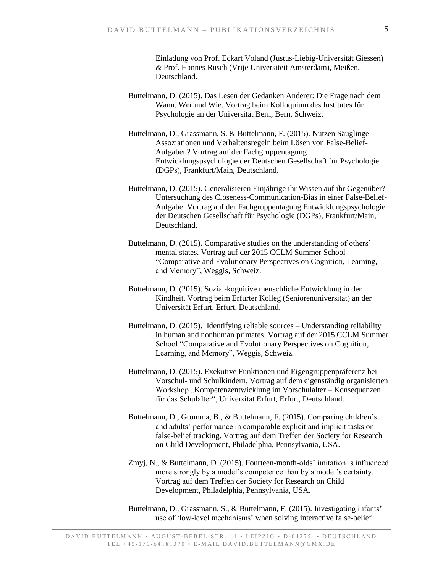Einladung von Prof. Eckart Voland (Justus-Liebig-Universität Giessen) & Prof. Hannes Rusch (Vrije Universiteit Amsterdam), Meißen, Deutschland.

- Buttelmann, D. (2015). Das Lesen der Gedanken Anderer: Die Frage nach dem Wann, Wer und Wie. Vortrag beim Kolloquium des Institutes für Psychologie an der Universität Bern, Bern, Schweiz.
- Buttelmann, D., Grassmann, S. & Buttelmann, F. (2015). Nutzen Säuglinge Assoziationen und Verhaltensregeln beim Lösen von False-Belief-Aufgaben? Vortrag auf der Fachgruppentagung Entwicklungspsychologie der Deutschen Gesellschaft für Psychologie (DGPs), Frankfurt/Main, Deutschland.
- Buttelmann, D. (2015). Generalisieren Einjährige ihr Wissen auf ihr Gegenüber? Untersuchung des Closeness-Communication-Bias in einer False-Belief-Aufgabe. Vortrag auf der Fachgruppentagung Entwicklungspsychologie der Deutschen Gesellschaft für Psychologie (DGPs), Frankfurt/Main, Deutschland.
- Buttelmann, D. (2015). Comparative studies on the understanding of others' mental states. Vortrag auf der 2015 CCLM Summer School "Comparative and Evolutionary Perspectives on Cognition, Learning, and Memory", Weggis, Schweiz.
- Buttelmann, D. (2015). Sozial-kognitive menschliche Entwicklung in der Kindheit. Vortrag beim Erfurter Kolleg (Seniorenuniversität) an der Universität Erfurt, Erfurt, Deutschland.
- Buttelmann, D. (2015). Identifying reliable sources Understanding reliability in human and nonhuman primates. Vortrag auf der 2015 CCLM Summer School "Comparative and Evolutionary Perspectives on Cognition, Learning, and Memory", Weggis, Schweiz.
- Buttelmann, D. (2015). Exekutive Funktionen und Eigengruppenpräferenz bei Vorschul- und Schulkindern. Vortrag auf dem eigenständig organisierten Workshop "Kompetenzentwicklung im Vorschulalter – Konsequenzen für das Schulalter", Universität Erfurt, Erfurt, Deutschland.
- Buttelmann, D., Gromma, B., & Buttelmann, F. (2015). Comparing children's and adults' performance in comparable explicit and implicit tasks on false-belief tracking. Vortrag auf dem Treffen der Society for Research on Child Development, Philadelphia, Pennsylvania, USA.
- Zmyj, N., & Buttelmann, D. (2015). Fourteen-month-olds' imitation is influenced more strongly by a model's competence than by a model's certainty. Vortrag auf dem Treffen der Society for Research on Child Development, Philadelphia, Pennsylvania, USA.
- Buttelmann, D., Grassmann, S., & Buttelmann, F. (2015). Investigating infants' use of 'low-level mechanisms' when solving interactive false-belief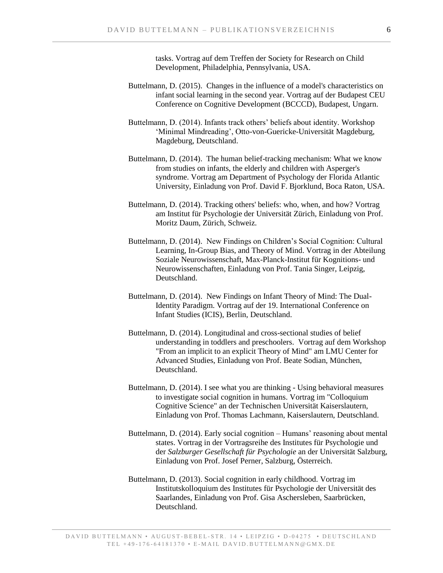tasks. Vortrag auf dem Treffen der Society for Research on Child Development, Philadelphia, Pennsylvania, USA.

- Buttelmann, D. (2015). Changes in the influence of a model's characteristics on infant social learning in the second year. Vortrag auf der Budapest CEU Conference on Cognitive Development (BCCCD), Budapest, Ungarn.
- Buttelmann, D. (2014). Infants track others' beliefs about identity. Workshop 'Minimal Mindreading', Otto-von-Guericke-Universität Magdeburg, Magdeburg, Deutschland.
- Buttelmann, D. (2014). The human belief-tracking mechanism: What we know from studies on infants, the elderly and children with Asperger's syndrome. Vortrag am Department of Psychology der Florida Atlantic University, Einladung von Prof. David F. Bjorklund, Boca Raton, USA.
- Buttelmann, D. (2014). Tracking others' beliefs: who, when, and how? Vortrag am Institut für Psychologie der Universität Zürich, Einladung von Prof. Moritz Daum, Zürich, Schweiz.
- Buttelmann, D. (2014). New Findings on Children's Social Cognition: Cultural Learning, In-Group Bias, and Theory of Mind. Vortrag in der Abteilung Soziale Neurowissenschaft, Max-Planck-Institut für Kognitions- und Neurowissenschaften, Einladung von Prof. Tania Singer, Leipzig, Deutschland.
- Buttelmann, D. (2014). New Findings on Infant Theory of Mind: The Dual-Identity Paradigm. Vortrag auf der 19. International Conference on Infant Studies (ICIS), Berlin, Deutschland.
- Buttelmann, D. (2014). Longitudinal and cross-sectional studies of belief understanding in toddlers and preschoolers. Vortrag auf dem Workshop "From an implicit to an explicit Theory of Mind" am LMU Center for Advanced Studies, Einladung von Prof. Beate Sodian, München, Deutschland.
- Buttelmann, D. (2014). I see what you are thinking Using behavioral measures to investigate social cognition in humans. Vortrag im "Colloquium Cognitive Science" an der Technischen Universität Kaiserslautern, Einladung von Prof. Thomas Lachmann, Kaiserslautern, Deutschland.
- Buttelmann, D. (2014). Early social cognition Humans' reasoning about mental states. Vortrag in der Vortragsreihe des Institutes für Psychologie und der *Salzburger Gesellschaft für Psychologie* an der Universität Salzburg, Einladung von Prof. Josef Perner, Salzburg, Österreich.
- Buttelmann, D. (2013). Social cognition in early childhood. Vortrag im Institutskolloquium des Institutes für Psychologie der Universität des Saarlandes, Einladung von Prof. Gisa Aschersleben, Saarbrücken, Deutschland.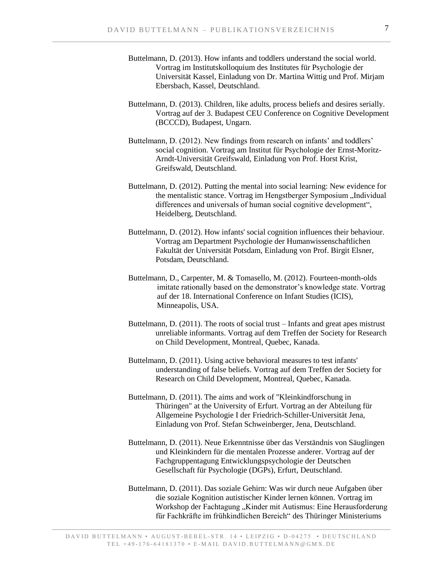- Buttelmann, D. (2013). How infants and toddlers understand the social world. Vortrag im Institutskolloquium des Institutes für Psychologie der Universität Kassel, Einladung von Dr. Martina Wittig und Prof. Mirjam Ebersbach, Kassel, Deutschland.
- Buttelmann, D. (2013). Children, like adults, process beliefs and desires serially. Vortrag auf der 3. Budapest CEU Conference on Cognitive Development (BCCCD), Budapest, Ungarn.
- Buttelmann, D. (2012). New findings from research on infants' and toddlers' social cognition. Vortrag am Institut für Psychologie der Ernst-Moritz-Arndt-Universität Greifswald, Einladung von Prof. Horst Krist, Greifswald, Deutschland.
- Buttelmann, D. (2012). Putting the mental into social learning: New evidence for the mentalistic stance. Vortrag im Hengstberger Symposium "Individual differences and universals of human social cognitive development", Heidelberg, Deutschland.
- Buttelmann, D. (2012). How infants' social cognition influences their behaviour. Vortrag am Department Psychologie der Humanwissenschaftlichen Fakultät der Universität Potsdam, Einladung von Prof. Birgit Elsner, Potsdam, Deutschland.
- Buttelmann, D., Carpenter, M. & Tomasello, M. (2012). Fourteen-month-olds imitate rationally based on the demonstrator's knowledge state. Vortrag auf der 18. International Conference on Infant Studies (ICIS), Minneapolis, USA.
- Buttelmann, D. (2011). The roots of social trust Infants and great apes mistrust unreliable informants. Vortrag auf dem Treffen der Society for Research on Child Development, Montreal, Quebec, Kanada.
- Buttelmann, D. (2011). Using active behavioral measures to test infants' understanding of false beliefs. Vortrag auf dem Treffen der Society for Research on Child Development, Montreal, Quebec, Kanada.
- Buttelmann, D. (2011). The aims and work of "Kleinkindforschung in Thüringen" at the University of Erfurt. Vortrag an der Abteilung für Allgemeine Psychologie I der Friedrich-Schiller-Universität Jena, Einladung von Prof. Stefan Schweinberger, Jena, Deutschland.
- Buttelmann, D. (2011). Neue Erkenntnisse über das Verständnis von Säuglingen und Kleinkindern für die mentalen Prozesse anderer. Vortrag auf der Fachgruppentagung Entwicklungspsychologie der Deutschen Gesellschaft für Psychologie (DGPs), Erfurt, Deutschland.
- Buttelmann, D. (2011). Das soziale Gehirn: Was wir durch neue Aufgaben über die soziale Kognition autistischer Kinder lernen können. Vortrag im Workshop der Fachtagung "Kinder mit Autismus: Eine Herausforderung für Fachkräfte im frühkindlichen Bereich" des Thüringer Ministeriums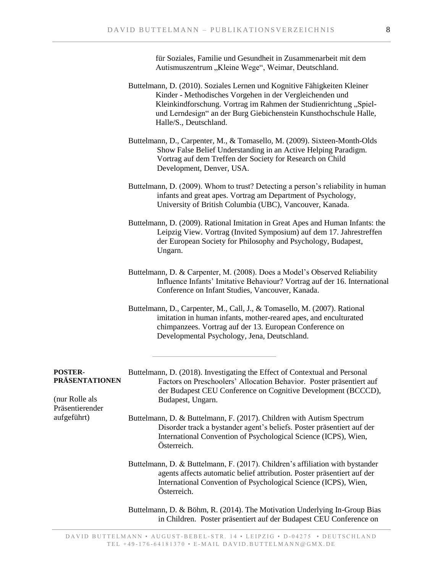für Soziales, Familie und Gesundheit in Zusammenarbeit mit dem Autismuszentrum "Kleine Wege", Weimar, Deutschland.

Buttelmann, D. (2010). Soziales Lernen und Kognitive Fähigkeiten Kleiner Kinder - Methodisches Vorgehen in der Vergleichenden und Kleinkindforschung. Vortrag im Rahmen der Studienrichtung "Spielund Lerndesign" an der Burg Giebichenstein Kunsthochschule Halle, Halle/S., Deutschland.

Buttelmann, D., Carpenter, M., & Tomasello, M. (2009). Sixteen-Month-Olds Show False Belief Understanding in an Active Helping Paradigm. Vortrag auf dem Treffen der Society for Research on Child Development, Denver, USA.

- Buttelmann, D. (2009). Whom to trust? Detecting a person's reliability in human infants and great apes. Vortrag am Department of Psychology, University of British Columbia (UBC), Vancouver, Kanada.
- Buttelmann, D. (2009). Rational Imitation in Great Apes and Human Infants: the Leipzig View. Vortrag (Invited Symposium) auf dem 17. Jahrestreffen der European Society for Philosophy and Psychology, Budapest, Ungarn.
- Buttelmann, D. & Carpenter, M. (2008). Does a Model's Observed Reliability Influence Infants' Imitative Behaviour? Vortrag auf der 16. International Conference on Infant Studies, Vancouver, Kanada.
- Buttelmann, D., Carpenter, M., Call, J., & Tomasello, M. (2007). Rational imitation in human infants, mother-reared apes, and enculturated chimpanzees. Vortrag auf der 13. European Conference on Developmental Psychology, Jena, Deutschland.

| <b>POSTER-</b><br><b>PRÄSENTATIONEN</b> | Buttelmann, D. (2018). Investigating the Effect of Contextual and Personal<br>Factors on Preschoolers' Allocation Behavior. Poster präsentiert auf<br>der Budapest CEU Conference on Cognitive Development (BCCCD),                        |
|-----------------------------------------|--------------------------------------------------------------------------------------------------------------------------------------------------------------------------------------------------------------------------------------------|
| (nur Rolle als                          | Budapest, Ungarn.                                                                                                                                                                                                                          |
| Präsentierender                         |                                                                                                                                                                                                                                            |
| aufgeführt)                             | Buttelmann, D. & Buttelmann, F. (2017). Children with Autism Spectrum<br>Disorder track a bystander agent's beliefs. Poster präsentiert auf der<br>International Convention of Psychological Science (ICPS), Wien,<br>Österreich.          |
|                                         | Buttelmann, D. & Buttelmann, F. (2017). Children's affiliation with bystander<br>agents affects automatic belief attribution. Poster präsentiert auf der<br>International Convention of Psychological Science (ICPS), Wien,<br>Österreich. |
|                                         | Buttelmann, D. & Böhm, R. (2014). The Motivation Underlying In-Group Bias<br>in Children. Poster präsentiert auf der Budapest CEU Conference on                                                                                            |

DAVID BUTTELMANN • AUGUST-BEBEL-STR. 14 • LEIPZIG • D-04275 • DEUTSCHLAND TEL +49-176-64181370 • E-MAIL DAVID. BUTTELMANN@GMX. DE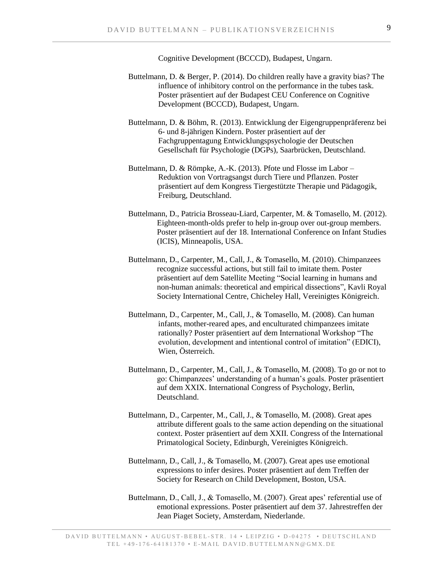Cognitive Development (BCCCD), Budapest, Ungarn.

- Buttelmann, D. & Berger, P. (2014). Do children really have a gravity bias? The influence of inhibitory control on the performance in the tubes task. Poster präsentiert auf der Budapest CEU Conference on Cognitive Development (BCCCD), Budapest, Ungarn.
- Buttelmann, D. & Böhm, R. (2013). Entwicklung der Eigengruppenpräferenz bei 6- und 8-jährigen Kindern. Poster präsentiert auf der Fachgruppentagung Entwicklungspsychologie der Deutschen Gesellschaft für Psychologie (DGPs), Saarbrücken, Deutschland.
- Buttelmann, D. & Römpke, A.-K. (2013). Pfote und Flosse im Labor Reduktion von Vortragsangst durch Tiere und Pflanzen. Poster präsentiert auf dem Kongress Tiergestützte Therapie und Pädagogik, Freiburg, Deutschland.
- Buttelmann, D., Patricia Brosseau-Liard, Carpenter, M. & Tomasello, M. (2012). Eighteen-month-olds prefer to help in-group over out-group members. Poster präsentiert auf der 18. International Conference on Infant Studies (ICIS), Minneapolis, USA.
- Buttelmann, D., Carpenter, M., Call, J., & Tomasello, M. (2010). Chimpanzees recognize successful actions, but still fail to imitate them. Poster präsentiert auf dem Satellite Meeting "Social learning in humans and non-human animals: theoretical and empirical dissections", Kavli Royal Society International Centre, Chicheley Hall, Vereinigtes Königreich.
- Buttelmann, D., Carpenter, M., Call, J., & Tomasello, M. (2008). Can human infants, mother-reared apes, and enculturated chimpanzees imitate rationally? Poster präsentiert auf dem International Workshop "The evolution, development and intentional control of imitation" (EDICI), Wien, Österreich.
- Buttelmann, D., Carpenter, M., Call, J., & Tomasello, M. (2008). To go or not to go: Chimpanzees' understanding of a human's goals. Poster präsentiert auf dem XXIX. International Congress of Psychology, Berlin, Deutschland.
- Buttelmann, D., Carpenter, M., Call, J., & Tomasello, M. (2008). Great apes attribute different goals to the same action depending on the situational context. Poster präsentiert auf dem XXII. Congress of the International Primatological Society, Edinburgh, Vereinigtes Königreich.
- Buttelmann, D., Call, J., & Tomasello, M. (2007). Great apes use emotional expressions to infer desires. Poster präsentiert auf dem Treffen der Society for Research on Child Development, Boston, USA.
- Buttelmann, D., Call, J., & Tomasello, M. (2007). Great apes' referential use of emotional expressions. Poster präsentiert auf dem 37. Jahrestreffen der Jean Piaget Society, Amsterdam, Niederlande.